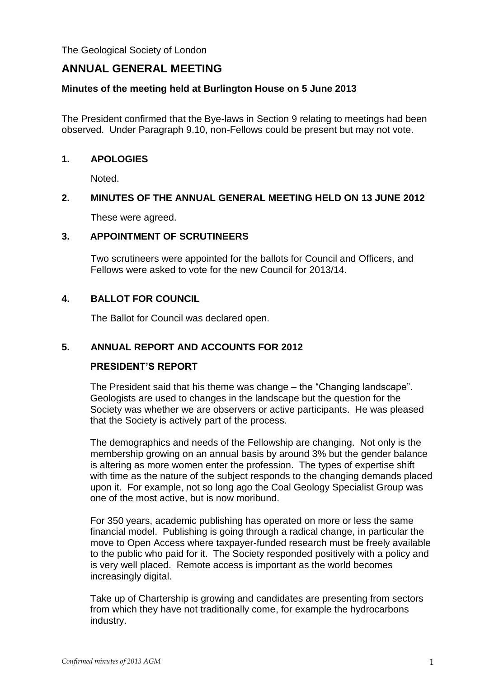The Geological Society of London

# **ANNUAL GENERAL MEETING**

# **Minutes of the meeting held at Burlington House on 5 June 2013**

The President confirmed that the Bye-laws in Section 9 relating to meetings had been observed. Under Paragraph 9.10, non-Fellows could be present but may not vote.

# **1. APOLOGIES**

Noted.

# **2. MINUTES OF THE ANNUAL GENERAL MEETING HELD ON 13 JUNE 2012**

These were agreed.

# **3. APPOINTMENT OF SCRUTINEERS**

Two scrutineers were appointed for the ballots for Council and Officers, and Fellows were asked to vote for the new Council for 2013/14.

# **4. BALLOT FOR COUNCIL**

The Ballot for Council was declared open.

# **5. ANNUAL REPORT AND ACCOUNTS FOR 2012**

# **PRESIDENT'S REPORT**

The President said that his theme was change – the "Changing landscape". Geologists are used to changes in the landscape but the question for the Society was whether we are observers or active participants. He was pleased that the Society is actively part of the process.

The demographics and needs of the Fellowship are changing. Not only is the membership growing on an annual basis by around 3% but the gender balance is altering as more women enter the profession. The types of expertise shift with time as the nature of the subject responds to the changing demands placed upon it. For example, not so long ago the Coal Geology Specialist Group was one of the most active, but is now moribund.

For 350 years, academic publishing has operated on more or less the same financial model. Publishing is going through a radical change, in particular the move to Open Access where taxpayer-funded research must be freely available to the public who paid for it. The Society responded positively with a policy and is very well placed. Remote access is important as the world becomes increasingly digital.

Take up of Chartership is growing and candidates are presenting from sectors from which they have not traditionally come, for example the hydrocarbons industry.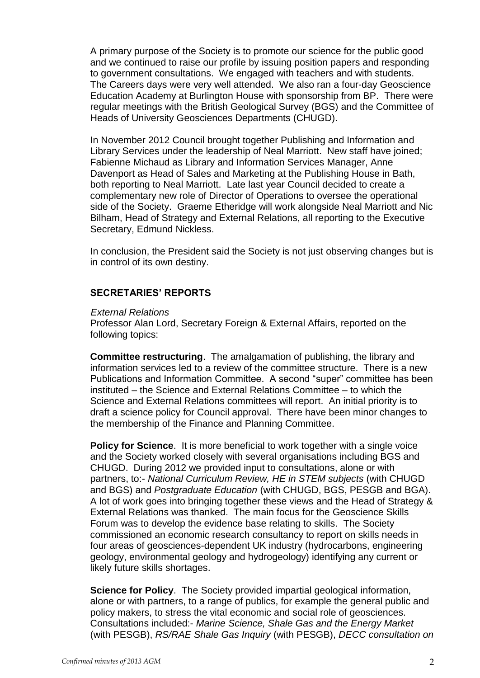A primary purpose of the Society is to promote our science for the public good and we continued to raise our profile by issuing position papers and responding to government consultations. We engaged with teachers and with students. The Careers days were very well attended. We also ran a four-day Geoscience Education Academy at Burlington House with sponsorship from BP. There were regular meetings with the British Geological Survey (BGS) and the Committee of Heads of University Geosciences Departments (CHUGD).

In November 2012 Council brought together Publishing and Information and Library Services under the leadership of Neal Marriott. New staff have joined; Fabienne Michaud as Library and Information Services Manager, Anne Davenport as Head of Sales and Marketing at the Publishing House in Bath, both reporting to Neal Marriott. Late last year Council decided to create a complementary new role of Director of Operations to oversee the operational side of the Society. Graeme Etheridge will work alongside Neal Marriott and Nic Bilham, Head of Strategy and External Relations, all reporting to the Executive Secretary, Edmund Nickless.

In conclusion, the President said the Society is not just observing changes but is in control of its own destiny.

# **SECRETARIES' REPORTS**

### *External Relations*

Professor Alan Lord, Secretary Foreign & External Affairs, reported on the following topics:

**Committee restructuring**. The amalgamation of publishing, the library and information services led to a review of the committee structure. There is a new Publications and Information Committee. A second "super" committee has been instituted – the Science and External Relations Committee – to which the Science and External Relations committees will report. An initial priority is to draft a science policy for Council approval. There have been minor changes to the membership of the Finance and Planning Committee.

**Policy for Science.** It is more beneficial to work together with a single voice and the Society worked closely with several organisations including BGS and CHUGD. During 2012 we provided input to consultations, alone or with partners, to:- *National Curriculum Review, HE in STEM subjects* (with CHUGD and BGS) and *Postgraduate Education* (with CHUGD, BGS, PESGB and BGA). A lot of work goes into bringing together these views and the Head of Strategy & External Relations was thanked. The main focus for the Geoscience Skills Forum was to develop the evidence base relating to skills. The Society commissioned an economic research consultancy to report on skills needs in four areas of geosciences-dependent UK industry (hydrocarbons, engineering geology, environmental geology and hydrogeology) identifying any current or likely future skills shortages.

**Science for Policy**. The Society provided impartial geological information, alone or with partners, to a range of publics, for example the general public and policy makers, to stress the vital economic and social role of geosciences. Consultations included:- *Marine Science, Shale Gas and the Energy Market* (with PESGB), *RS/RAE Shale Gas Inquiry* (with PESGB), *DECC consultation on*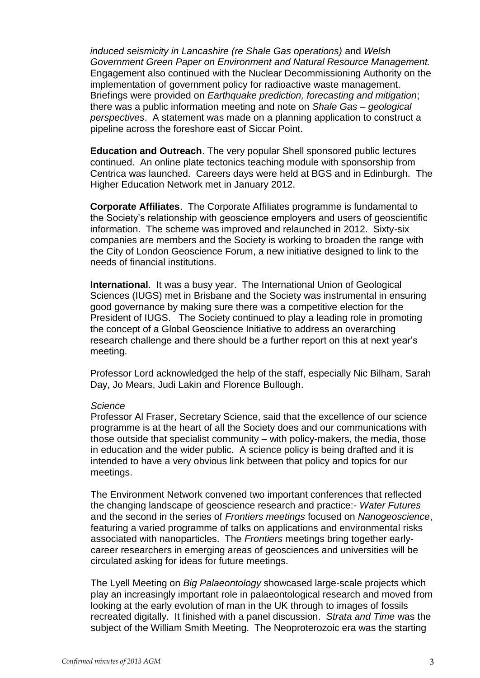*induced seismicity in Lancashire (re Shale Gas operations)* and *Welsh Government Green Paper on Environment and Natural Resource Management.*  Engagement also continued with the Nuclear Decommissioning Authority on the implementation of government policy for radioactive waste management. Briefings were provided on *Earthquake prediction, forecasting and mitigation*; there was a public information meeting and note on *Shale Gas – geological perspectives*. A statement was made on a planning application to construct a pipeline across the foreshore east of Siccar Point.

**Education and Outreach**. The very popular Shell sponsored public lectures continued. An online plate tectonics teaching module with sponsorship from Centrica was launched. Careers days were held at BGS and in Edinburgh. The Higher Education Network met in January 2012.

**Corporate Affiliates**. The Corporate Affiliates programme is fundamental to the Society's relationship with geoscience employers and users of geoscientific information. The scheme was improved and relaunched in 2012. Sixty-six companies are members and the Society is working to broaden the range with the City of London Geoscience Forum, a new initiative designed to link to the needs of financial institutions.

**International**. It was a busy year. The International Union of Geological Sciences (IUGS) met in Brisbane and the Society was instrumental in ensuring good governance by making sure there was a competitive election for the President of IUGS. The Society continued to play a leading role in promoting the concept of a Global Geoscience Initiative to address an overarching research challenge and there should be a further report on this at next year's meeting.

Professor Lord acknowledged the help of the staff, especially Nic Bilham, Sarah Day, Jo Mears, Judi Lakin and Florence Bullough.

### *Science*

Professor Al Fraser, Secretary Science, said that the excellence of our science programme is at the heart of all the Society does and our communications with those outside that specialist community – with policy-makers, the media, those in education and the wider public. A science policy is being drafted and it is intended to have a very obvious link between that policy and topics for our meetings.

The Environment Network convened two important conferences that reflected the changing landscape of geoscience research and practice:- *Water Futures*  and the second in the series of *Frontiers meetings* focused on *Nanogeoscience*, featuring a varied programme of talks on applications and environmental risks associated with nanoparticles. The *Frontiers* meetings bring together earlycareer researchers in emerging areas of geosciences and universities will be circulated asking for ideas for future meetings.

The Lyell Meeting on *Big Palaeontology* showcased large-scale projects which play an increasingly important role in palaeontological research and moved from looking at the early evolution of man in the UK through to images of fossils recreated digitally. It finished with a panel discussion. *Strata and Time* was the subject of the William Smith Meeting. The Neoproterozoic era was the starting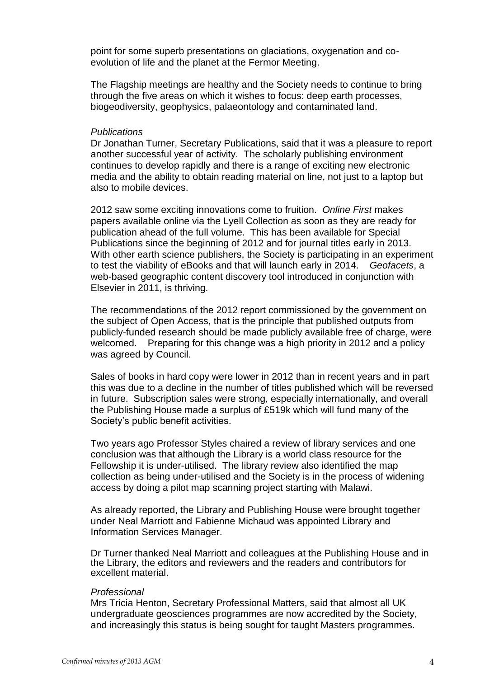point for some superb presentations on glaciations, oxygenation and coevolution of life and the planet at the Fermor Meeting.

The Flagship meetings are healthy and the Society needs to continue to bring through the five areas on which it wishes to focus: deep earth processes, biogeodiversity, geophysics, palaeontology and contaminated land.

#### *Publications*

Dr Jonathan Turner, Secretary Publications, said that it was a pleasure to report another successful year of activity. The scholarly publishing environment continues to develop rapidly and there is a range of exciting new electronic media and the ability to obtain reading material on line, not just to a laptop but also to mobile devices.

2012 saw some exciting innovations come to fruition. *Online First* makes papers available online via the Lyell Collection as soon as they are ready for publication ahead of the full volume. This has been available for Special Publications since the beginning of 2012 and for journal titles early in 2013. With other earth science publishers, the Society is participating in an experiment to test the viability of eBooks and that will launch early in 2014. *Geofacets*, a web-based geographic content discovery tool introduced in conjunction with Elsevier in 2011, is thriving.

The recommendations of the 2012 report commissioned by the government on the subject of Open Access, that is the principle that published outputs from publicly-funded research should be made publicly available free of charge, were welcomed. Preparing for this change was a high priority in 2012 and a policy was agreed by Council.

Sales of books in hard copy were lower in 2012 than in recent years and in part this was due to a decline in the number of titles published which will be reversed in future. Subscription sales were strong, especially internationally, and overall the Publishing House made a surplus of £519k which will fund many of the Society's public benefit activities.

Two years ago Professor Styles chaired a review of library services and one conclusion was that although the Library is a world class resource for the Fellowship it is under-utilised. The library review also identified the map collection as being under-utilised and the Society is in the process of widening access by doing a pilot map scanning project starting with Malawi.

As already reported, the Library and Publishing House were brought together under Neal Marriott and Fabienne Michaud was appointed Library and Information Services Manager.

Dr Turner thanked Neal Marriott and colleagues at the Publishing House and in the Library, the editors and reviewers and the readers and contributors for excellent material.

#### *Professional*

Mrs Tricia Henton, Secretary Professional Matters, said that almost all UK undergraduate geosciences programmes are now accredited by the Society, and increasingly this status is being sought for taught Masters programmes.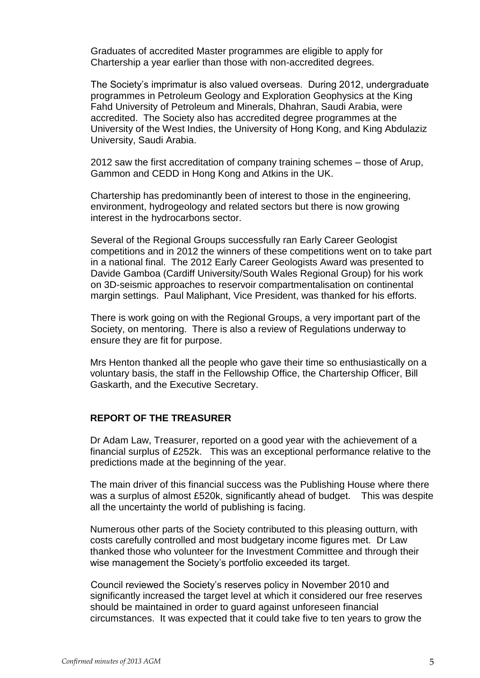Graduates of accredited Master programmes are eligible to apply for Chartership a year earlier than those with non-accredited degrees.

The Society's imprimatur is also valued overseas. During 2012, undergraduate programmes in Petroleum Geology and Exploration Geophysics at the King Fahd University of Petroleum and Minerals, Dhahran, Saudi Arabia, were accredited. The Society also has accredited degree programmes at the University of the West Indies, the University of Hong Kong, and King Abdulaziz University, Saudi Arabia.

2012 saw the first accreditation of company training schemes – those of Arup, Gammon and CEDD in Hong Kong and Atkins in the UK.

Chartership has predominantly been of interest to those in the engineering, environment, hydrogeology and related sectors but there is now growing interest in the hydrocarbons sector.

Several of the Regional Groups successfully ran Early Career Geologist competitions and in 2012 the winners of these competitions went on to take part in a national final. The 2012 Early Career Geologists Award was presented to Davide Gamboa (Cardiff University/South Wales Regional Group) for his work on 3D-seismic approaches to reservoir compartmentalisation on continental margin settings. Paul Maliphant, Vice President, was thanked for his efforts.

There is work going on with the Regional Groups, a very important part of the Society, on mentoring. There is also a review of Regulations underway to ensure they are fit for purpose.

Mrs Henton thanked all the people who gave their time so enthusiastically on a voluntary basis, the staff in the Fellowship Office, the Chartership Officer, Bill Gaskarth, and the Executive Secretary.

### **REPORT OF THE TREASURER**

Dr Adam Law, Treasurer, reported on a good year with the achievement of a financial surplus of £252k. This was an exceptional performance relative to the predictions made at the beginning of the year.

The main driver of this financial success was the Publishing House where there was a surplus of almost £520k, significantly ahead of budget. This was despite all the uncertainty the world of publishing is facing.

Numerous other parts of the Society contributed to this pleasing outturn, with costs carefully controlled and most budgetary income figures met. Dr Law thanked those who volunteer for the Investment Committee and through their wise management the Society's portfolio exceeded its target.

Council reviewed the Society's reserves policy in November 2010 and significantly increased the target level at which it considered our free reserves should be maintained in order to guard against unforeseen financial circumstances. It was expected that it could take five to ten years to grow the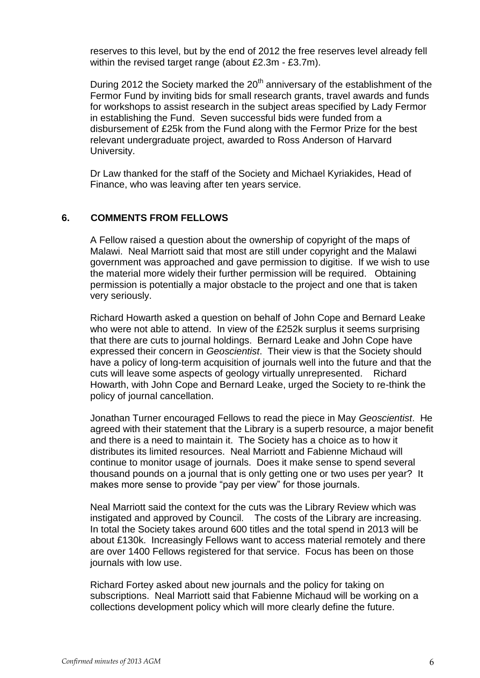reserves to this level, but by the end of 2012 the free reserves level already fell within the revised target range (about £2.3m - £3.7m).

During 2012 the Society marked the  $20<sup>th</sup>$  anniversary of the establishment of the Fermor Fund by inviting bids for small research grants, travel awards and funds for workshops to assist research in the subject areas specified by Lady Fermor in establishing the Fund. Seven successful bids were funded from a disbursement of £25k from the Fund along with the Fermor Prize for the best relevant undergraduate project, awarded to Ross Anderson of Harvard University.

Dr Law thanked for the staff of the Society and Michael Kyriakides, Head of Finance, who was leaving after ten years service.

# **6. COMMENTS FROM FELLOWS**

A Fellow raised a question about the ownership of copyright of the maps of Malawi. Neal Marriott said that most are still under copyright and the Malawi government was approached and gave permission to digitise. If we wish to use the material more widely their further permission will be required. Obtaining permission is potentially a major obstacle to the project and one that is taken very seriously.

Richard Howarth asked a question on behalf of John Cope and Bernard Leake who were not able to attend. In view of the £252k surplus it seems surprising that there are cuts to journal holdings. Bernard Leake and John Cope have expressed their concern in *Geoscientist*. Their view is that the Society should have a policy of long-term acquisition of journals well into the future and that the cuts will leave some aspects of geology virtually unrepresented. Richard Howarth, with John Cope and Bernard Leake, urged the Society to re-think the policy of journal cancellation.

Jonathan Turner encouraged Fellows to read the piece in May *Geoscientist*. He agreed with their statement that the Library is a superb resource, a major benefit and there is a need to maintain it. The Society has a choice as to how it distributes its limited resources. Neal Marriott and Fabienne Michaud will continue to monitor usage of journals. Does it make sense to spend several thousand pounds on a journal that is only getting one or two uses per year? It makes more sense to provide "pay per view" for those journals.

Neal Marriott said the context for the cuts was the Library Review which was instigated and approved by Council. The costs of the Library are increasing. In total the Society takes around 600 titles and the total spend in 2013 will be about £130k. Increasingly Fellows want to access material remotely and there are over 1400 Fellows registered for that service. Focus has been on those journals with low use.

Richard Fortey asked about new journals and the policy for taking on subscriptions. Neal Marriott said that Fabienne Michaud will be working on a collections development policy which will more clearly define the future.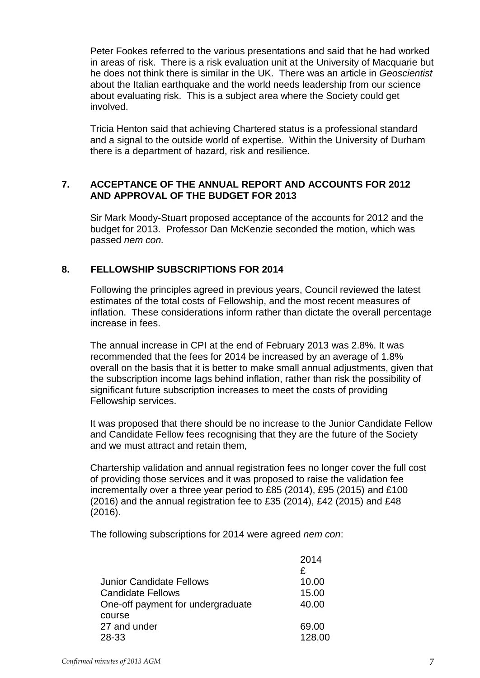Peter Fookes referred to the various presentations and said that he had worked in areas of risk. There is a risk evaluation unit at the University of Macquarie but he does not think there is similar in the UK. There was an article in *Geoscientist* about the Italian earthquake and the world needs leadership from our science about evaluating risk. This is a subject area where the Society could get involved.

Tricia Henton said that achieving Chartered status is a professional standard and a signal to the outside world of expertise. Within the University of Durham there is a department of hazard, risk and resilience.

# **7. ACCEPTANCE OF THE ANNUAL REPORT AND ACCOUNTS FOR 2012 AND APPROVAL OF THE BUDGET FOR 2013**

Sir Mark Moody-Stuart proposed acceptance of the accounts for 2012 and the budget for 2013. Professor Dan McKenzie seconded the motion, which was passed *nem con.*

# **8. FELLOWSHIP SUBSCRIPTIONS FOR 2014**

Following the principles agreed in previous years, Council reviewed the latest estimates of the total costs of Fellowship, and the most recent measures of inflation. These considerations inform rather than dictate the overall percentage increase in fees.

The annual increase in CPI at the end of February 2013 was 2.8%. It was recommended that the fees for 2014 be increased by an average of 1.8% overall on the basis that it is better to make small annual adjustments, given that the subscription income lags behind inflation, rather than risk the possibility of significant future subscription increases to meet the costs of providing Fellowship services.

It was proposed that there should be no increase to the Junior Candidate Fellow and Candidate Fellow fees recognising that they are the future of the Society and we must attract and retain them,

Chartership validation and annual registration fees no longer cover the full cost of providing those services and it was proposed to raise the validation fee incrementally over a three year period to £85 (2014), £95 (2015) and £100 (2016) and the annual registration fee to £35 (2014), £42 (2015) and £48 (2016).

The following subscriptions for 2014 were agreed *nem con*:

|                                   | 2014   |
|-----------------------------------|--------|
|                                   | £      |
| Junior Candidate Fellows          | 10.00  |
| <b>Candidate Fellows</b>          | 15.00  |
| One-off payment for undergraduate | 40.00  |
| course                            |        |
| 27 and under                      | 69.00  |
| 28-33                             | 128.00 |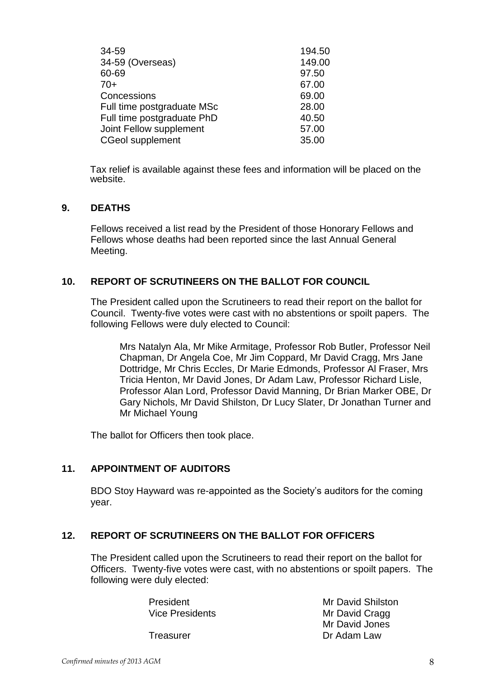| 34-59<br>34-59 (Overseas)  | 194.50<br>149.00 |
|----------------------------|------------------|
| 60-69                      | 97.50            |
| 70+                        | 67.00            |
| Concessions                | 69.00            |
| Full time postgraduate MSc | 28.00            |
| Full time postgraduate PhD | 40.50            |
| Joint Fellow supplement    | 57.00            |
| <b>CGeol supplement</b>    | 35.00            |
|                            |                  |

Tax relief is available against these fees and information will be placed on the website.

# **9. DEATHS**

Fellows received a list read by the President of those Honorary Fellows and Fellows whose deaths had been reported since the last Annual General Meeting.

# **10. REPORT OF SCRUTINEERS ON THE BALLOT FOR COUNCIL**

The President called upon the Scrutineers to read their report on the ballot for Council. Twenty-five votes were cast with no abstentions or spoilt papers. The following Fellows were duly elected to Council:

Mrs Natalyn Ala, Mr Mike Armitage, Professor Rob Butler, Professor Neil Chapman, Dr Angela Coe, Mr Jim Coppard, Mr David Cragg, Mrs Jane Dottridge, Mr Chris Eccles, Dr Marie Edmonds, Professor Al Fraser, Mrs Tricia Henton, Mr David Jones, Dr Adam Law, Professor Richard Lisle, Professor Alan Lord, Professor David Manning, Dr Brian Marker OBE, Dr Gary Nichols, Mr David Shilston, Dr Lucy Slater, Dr Jonathan Turner and Mr Michael Young

The ballot for Officers then took place.

# **11. APPOINTMENT OF AUDITORS**

BDO Stoy Hayward was re-appointed as the Society's auditors for the coming year.

# **12. REPORT OF SCRUTINEERS ON THE BALLOT FOR OFFICERS**

The President called upon the Scrutineers to read their report on the ballot for Officers. Twenty-five votes were cast, with no abstentions or spoilt papers. The following were duly elected:

| President       | <b>Mr David Shilston</b> |
|-----------------|--------------------------|
| Vice Presidents | Mr David Cragg           |
|                 | Mr David Jones           |
| Treasurer       | Dr Adam Law              |